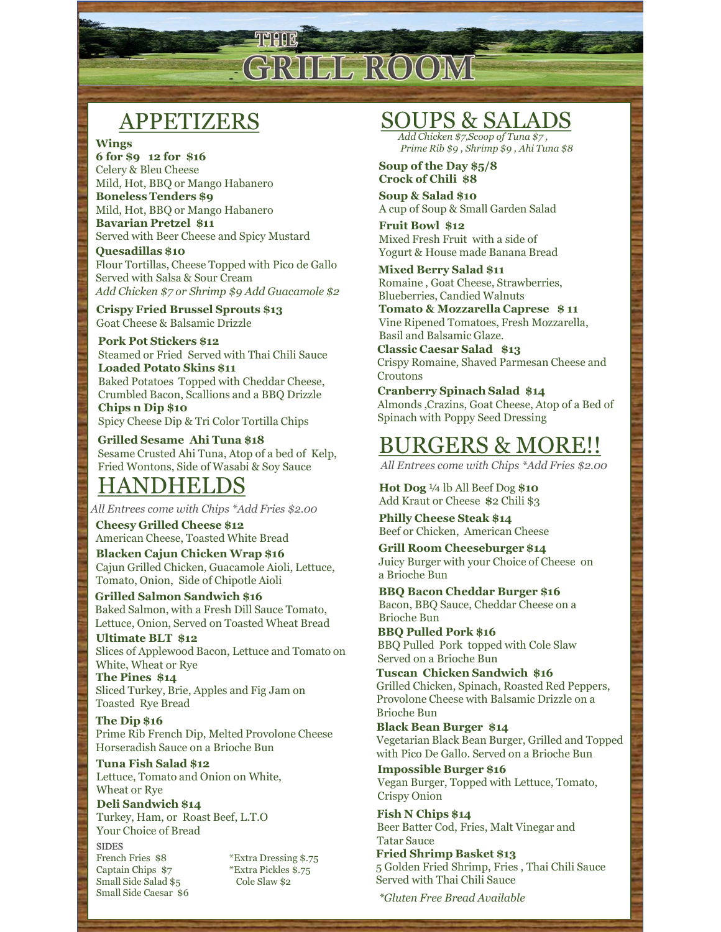

# APPETIZERS

#### Wings

6 for \$9 12 for \$16 Celery & Bleu Cheese Mild, Hot, BBQ or Mango Habanero Boneless Tenders \$9 Mild, Hot, BBQ or Mango Habanero Bavarian Pretzel \$11 Served with Beer Cheese and Spicy Mustard

Quesadillas \$10 Flour Tortillas, Cheese Topped with Pico de Gallo Served with Salsa & Sour Cream<br>
Romaine, Goat Cheese, Strawberries, Add Chicken \$7 or Shrimp \$9 Add Guacamole \$2

Crispy Fried Brussel Sprouts \$13 Goat Cheese & Balsamic Drizzle

Pork Pot Stickers \$12 Steamed or Fried Served with Thai Chili Sauce Loaded Potato Skins \$11 Baked Potatoes Topped with Cheddar Cheese, Crumbled Bacon, Scallions and a BBQ Drizzle Chips n Dip \$10 Spicy Cheese Dip & Tri Color Tortilla Chips

Grilled Sesame Ahi Tuna \$18 Sesame Crusted Ahi Tuna, Atop of a bed of Kelp, Fried Wontons, Side of Wasabi & Soy Sauce

#### HANDHELDS

All Entrees come with Chips \*Add Fries \$2.00

Cheesy Grilled Cheese \$12 American Cheese, Toasted White Bread Blacken Cajun Chicken Wrap \$16

Cajun Grilled Chicken, Guacamole Aioli, Lettuce, Tomato, Onion, Side of Chipotle Aioli

Grilled Salmon Sandwich \$16 Baked Salmon, with a Fresh Dill Sauce Tomato, Lettuce, Onion, Served on Toasted Wheat Bread

Ultimate BLT \$12 Slices of Applewood Bacon, Lettuce and Tomato on White, Wheat or Rye Electron Chicken Sandwich \$16

The Pines \$14 Sliced Turkey, Brie, Apples and Fig Jam on Toasted Rye Bread

The Dip \$16 Prime Rib French Dip, Melted Provolone Cheese Horseradish Sauce on a Brioche Bun

Tuna Fish Salad \$12 Lettuce, Tomato and Onion on White, Wheat or Rye

Deli Sandwich \$14 Turkey, Ham, or Roast Beef, L.T.O Your Choice of Bread

SIDES **SIDES** Captain Chips \$7 \*Extra Pickles \$.75 Small Side Salad  $$5$  Cole Slaw \$2 Small Side Caesar \$6

#### SOUPS & SALADS

Add Chicken \$7,Scoop of Tuna \$7 , Prime Rib \$9 , Shrimp \$9 , Ahi Tuna \$8

Soup of the Day \$5/8 Crock of Chili \$8

Soup & Salad \$10 A cup of Soup & Small Garden Salad

Fruit Bowl \$12 Mixed Fresh Fruit with a side of Yogurt & House made Banana Bread

Mixed Berry Salad \$11 Blueberries, Candied Walnuts

Tomato & Mozzarella Caprese \$ 11 Vine Ripened Tomatoes, Fresh Mozzarella, Basil and Balsamic Glaze.

Classic Caesar Salad \$13 Crispy Romaine, Shaved Parmesan Cheese and Croutons

Cranberry Spinach Salad \$14 Almonds ,Crazins, Goat Cheese, Atop of a Bed of Spinach with Poppy Seed Dressing

### BURGERS & MORE!!

All Entrees come with Chips \*Add Fries \$2.00

Hot Dog 1/4 lb All Beef Dog \$10 Add Kraut or Cheese \$2 Chili \$3

Philly Cheese Steak \$14 Beef or Chicken, American Cheese

Grill Room Cheeseburger \$14 Juicy Burger with your Choice of Cheese on a Brioche Bun

BBQ Bacon Cheddar Burger \$16 Bacon, BBQ Sauce, Cheddar Cheese on a Brioche Bun

BBQ Pulled Pork \$16 BBQ Pulled Pork topped with Cole Slaw Served on a Brioche Bun

Grilled Chicken, Spinach, Roasted Red Peppers, Provolone Cheese with Balsamic Drizzle on a Brioche Bun Black en Cajun Chilee (Chicken Wrap \$16<br>
Cajun Grilled Chicken, Guacamole Aioli, Lettuce,<br>
Tomato, Onion, Side of Chipote Aioli<br>
Tomato, Onion, Side of Chipote Aioli<br>
Tomato, Onion, Side of Chipote Aioli<br>
BBQ Bacon Chedda

Black Bean Burger \$14 Vegetarian Black Bean Burger, Grilled and Topped with Pico De Gallo. Served on a Brioche Bun

Impossible Burger \$16 Vegan Burger, Topped with Lettuce, Tomato, Crispy Onion

Fish N Chips \$14 Beer Batter Cod, Fries, Malt Vinegar and Tatar Sauce

Fried Shrimp Basket \$13 5 Golden Fried Shrimp, Fries , Thai Chili Sauce Served with Thai Chili Sauce

\*Gluten Free Bread Available